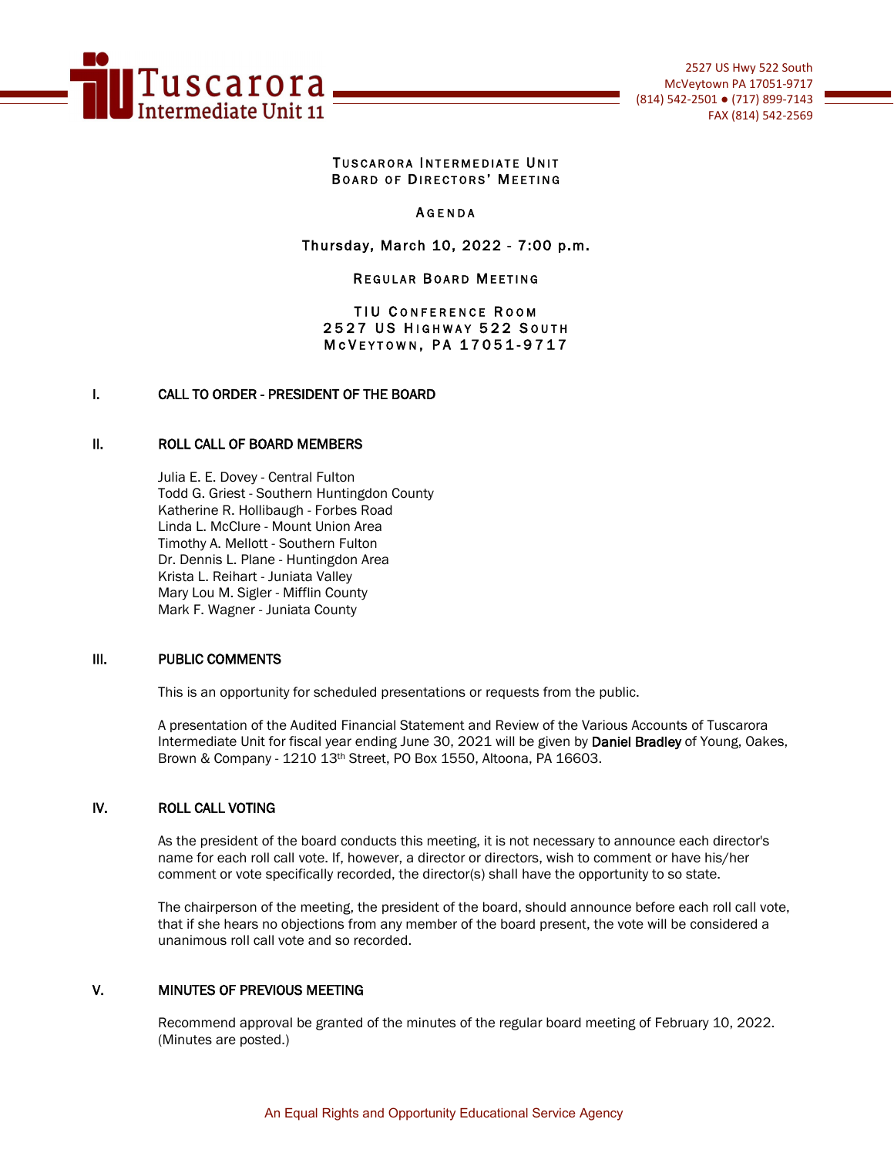

#### TUSCARORA INTERMEDIATE UNIT BOARD OF DIRECTORS' MEETING

### **AGENDA**

## Thursday, March 10, 2022 - 7:00 p.m.

#### **REGULAR BOARD MEETING**

### TIU CONFERENCE ROOM 2527 US HIGHWAY 522 SOUTH M c V E Y T O W N, P A 17051-9717

## I. CALL TO ORDER - PRESIDENT OF THE BOARD

#### II. ROLL CALL OF BOARD MEMBERS

Julia E. E. Dovey - Central Fulton Todd G. Griest - Southern Huntingdon County Katherine R. Hollibaugh - Forbes Road Linda L. McClure - Mount Union Area Timothy A. Mellott - Southern Fulton Dr. Dennis L. Plane - Huntingdon Area Krista L. Reihart - Juniata Valley Mary Lou M. Sigler - Mifflin County Mark F. Wagner - Juniata County

### III. PUBLIC COMMENTS

This is an opportunity for scheduled presentations or requests from the public.

A presentation of the Audited Financial Statement and Review of the Various Accounts of Tuscarora Intermediate Unit for fiscal year ending June 30, 2021 will be given by Daniel Bradley of Young, Oakes, Brown & Company - 1210 13th Street, PO Box 1550, Altoona, PA 16603.

### IV. ROLL CALL VOTING

As the president of the board conducts this meeting, it is not necessary to announce each director's name for each roll call vote. If, however, a director or directors, wish to comment or have his/her comment or vote specifically recorded, the director(s) shall have the opportunity to so state.

The chairperson of the meeting, the president of the board, should announce before each roll call vote, that if she hears no objections from any member of the board present, the vote will be considered a unanimous roll call vote and so recorded.

### V. MINUTES OF PREVIOUS MEETING

Recommend approval be granted of the minutes of the regular board meeting of February 10, 2022. (Minutes are posted.)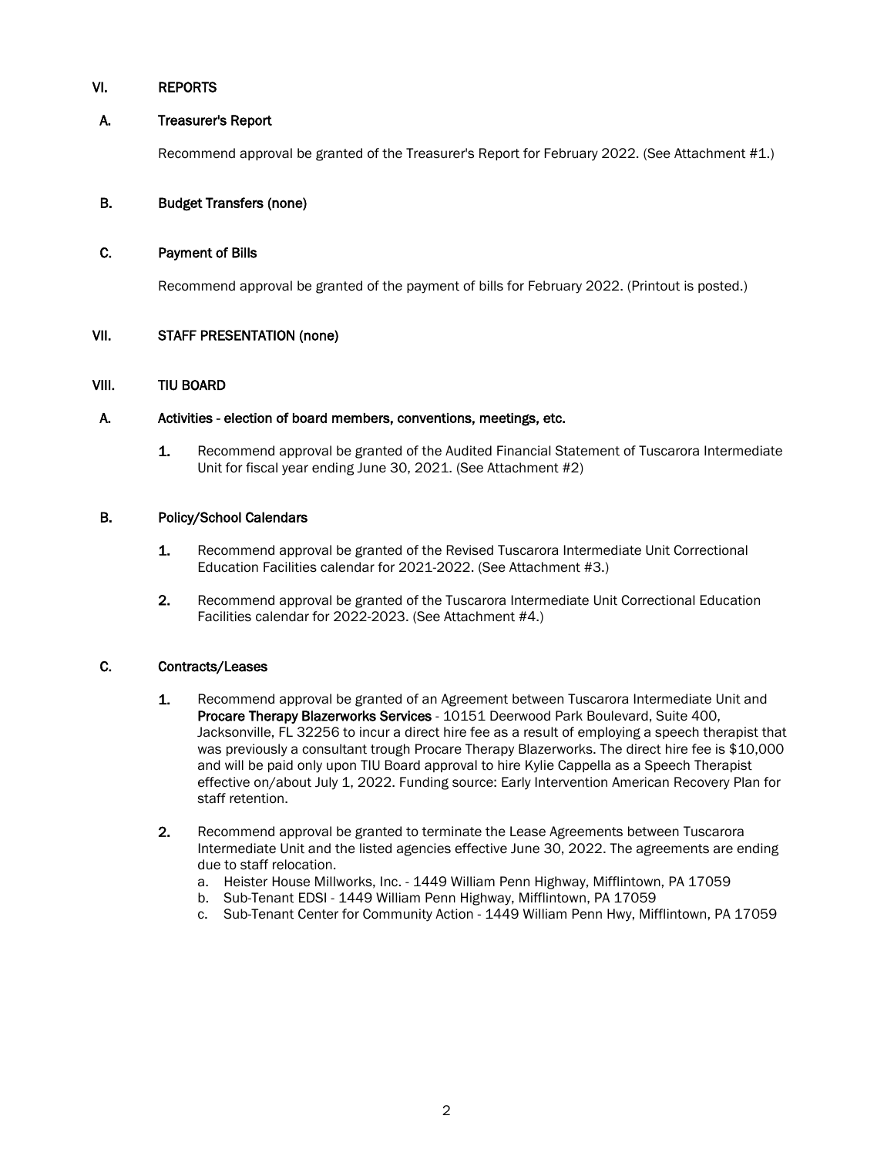### VI. REPORTS

### A. Treasurer's Report

Recommend approval be granted of the Treasurer's Report for February 2022. (See Attachment #1.)

## B. Budget Transfers (none)

### C. Payment of Bills

Recommend approval be granted of the payment of bills for February 2022. (Printout is posted.)

### VII. STAFF PRESENTATION (none)

### VIII. TIU BOARD

### A. Activities - election of board members, conventions, meetings, etc.

1. Recommend approval be granted of the Audited Financial Statement of Tuscarora Intermediate Unit for fiscal year ending June 30, 2021. (See Attachment #2)

### B. Policy/School Calendars

- 1. Recommend approval be granted of the Revised Tuscarora Intermediate Unit Correctional Education Facilities calendar for 2021-2022. (See Attachment #3.)
- 2. Recommend approval be granted of the Tuscarora Intermediate Unit Correctional Education Facilities calendar for 2022-2023. (See Attachment #4.)

### C. Contracts/Leases

- 1. Recommend approval be granted of an Agreement between Tuscarora Intermediate Unit and Procare Therapy Blazerworks Services - 10151 Deerwood Park Boulevard, Suite 400, Jacksonville, FL 32256 to incur a direct hire fee as a result of employing a speech therapist that was previously a consultant trough Procare Therapy Blazerworks. The direct hire fee is \$10,000 and will be paid only upon TIU Board approval to hire Kylie Cappella as a Speech Therapist effective on/about July 1, 2022. Funding source: Early Intervention American Recovery Plan for staff retention.
- 2. Recommend approval be granted to terminate the Lease Agreements between Tuscarora Intermediate Unit and the listed agencies effective June 30, 2022. The agreements are ending due to staff relocation.
	- a. Heister House Millworks, Inc. 1449 William Penn Highway, Mifflintown, PA 17059
	- b. Sub-Tenant EDSI 1449 William Penn Highway, Mifflintown, PA 17059
	- c. Sub-Tenant Center for Community Action 1449 William Penn Hwy, Mifflintown, PA 17059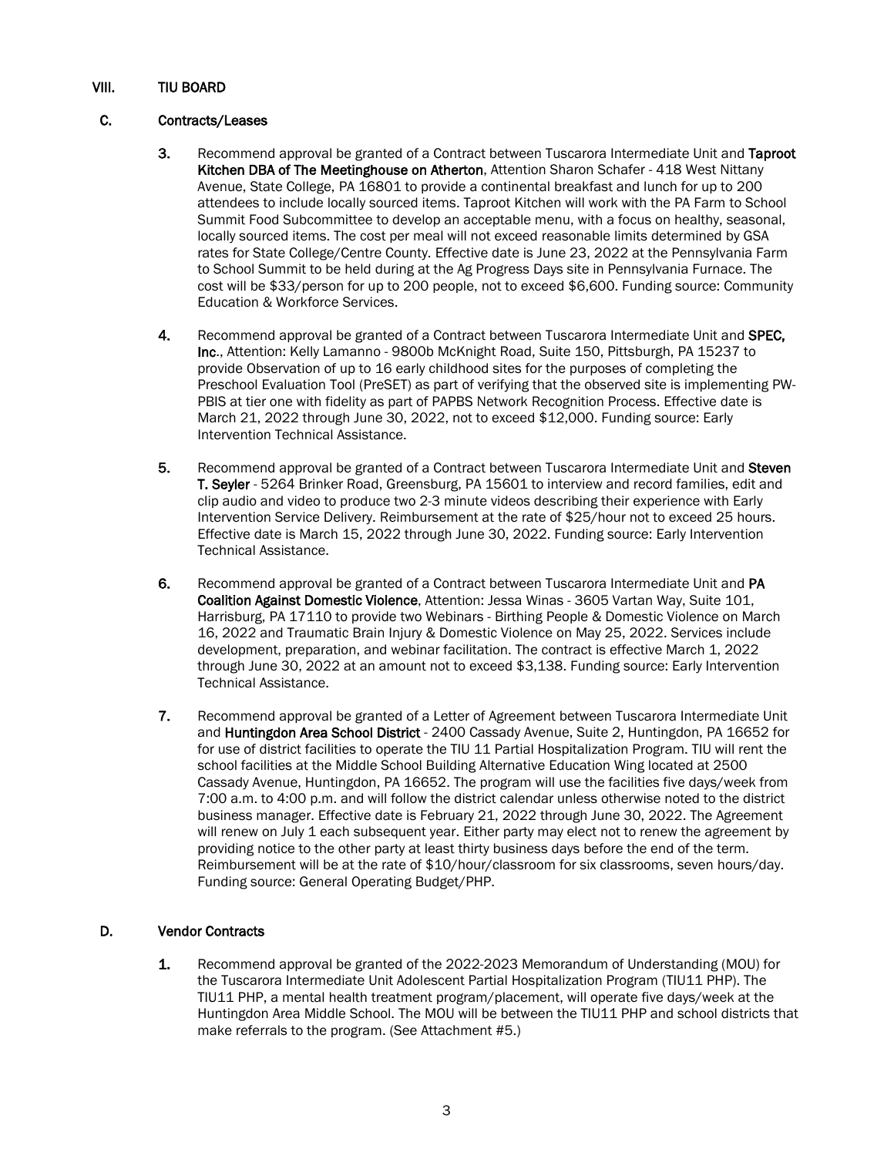## VIII. TIU BOARD

### C. Contracts/Leases

- 3. Recommend approval be granted of a Contract between Tuscarora Intermediate Unit and Taproot Kitchen DBA of The Meetinghouse on Atherton, Attention Sharon Schafer - 418 West Nittany Avenue, State College, PA 16801 to provide a continental breakfast and lunch for up to 200 attendees to include locally sourced items. Taproot Kitchen will work with the PA Farm to School Summit Food Subcommittee to develop an acceptable menu, with a focus on healthy, seasonal, locally sourced items. The cost per meal will not exceed reasonable limits determined by GSA rates for State College/Centre County. Effective date is June 23, 2022 at the Pennsylvania Farm to School Summit to be held during at the Ag Progress Days site in Pennsylvania Furnace. The cost will be \$33/person for up to 200 people, not to exceed \$6,600. Funding source: Community Education & Workforce Services.
- 4. Recommend approval be granted of a Contract between Tuscarora Intermediate Unit and SPEC, Inc., Attention: Kelly Lamanno - 9800b McKnight Road, Suite 150, Pittsburgh, PA 15237 to provide Observation of up to 16 early childhood sites for the purposes of completing the Preschool Evaluation Tool (PreSET) as part of verifying that the observed site is implementing PW-PBIS at tier one with fidelity as part of PAPBS Network Recognition Process. Effective date is March 21, 2022 through June 30, 2022, not to exceed \$12,000. Funding source: Early Intervention Technical Assistance.
- 5. Recommend approval be granted of a Contract between Tuscarora Intermediate Unit and Steven T. Seyler - 5264 Brinker Road, Greensburg, PA 15601 to interview and record families, edit and clip audio and video to produce two 2-3 minute videos describing their experience with Early Intervention Service Delivery. Reimbursement at the rate of \$25/hour not to exceed 25 hours. Effective date is March 15, 2022 through June 30, 2022. Funding source: Early Intervention Technical Assistance.
- 6. Recommend approval be granted of a Contract between Tuscarora Intermediate Unit and PA Coalition Against Domestic Violence, Attention: Jessa Winas - 3605 Vartan Way, Suite 101, Harrisburg, PA 17110 to provide two Webinars - Birthing People & Domestic Violence on March 16, 2022 and Traumatic Brain Injury & Domestic Violence on May 25, 2022. Services include development, preparation, and webinar facilitation. The contract is effective March 1, 2022 through June 30, 2022 at an amount not to exceed \$3,138. Funding source: Early Intervention Technical Assistance.
- 7. Recommend approval be granted of a Letter of Agreement between Tuscarora Intermediate Unit and Huntingdon Area School District - 2400 Cassady Avenue, Suite 2, Huntingdon, PA 16652 for for use of district facilities to operate the TIU 11 Partial Hospitalization Program. TIU will rent the school facilities at the Middle School Building Alternative Education Wing located at 2500 Cassady Avenue, Huntingdon, PA 16652. The program will use the facilities five days/week from 7:00 a.m. to 4:00 p.m. and will follow the district calendar unless otherwise noted to the district business manager. Effective date is February 21, 2022 through June 30, 2022. The Agreement will renew on July 1 each subsequent year. Either party may elect not to renew the agreement by providing notice to the other party at least thirty business days before the end of the term. Reimbursement will be at the rate of \$10/hour/classroom for six classrooms, seven hours/day. Funding source: General Operating Budget/PHP.

## D. Vendor Contracts

1. Recommend approval be granted of the 2022-2023 Memorandum of Understanding (MOU) for the Tuscarora Intermediate Unit Adolescent Partial Hospitalization Program (TIU11 PHP). The TIU11 PHP, a mental health treatment program/placement, will operate five days/week at the Huntingdon Area Middle School. The MOU will be between the TIU11 PHP and school districts that make referrals to the program. (See Attachment #5.)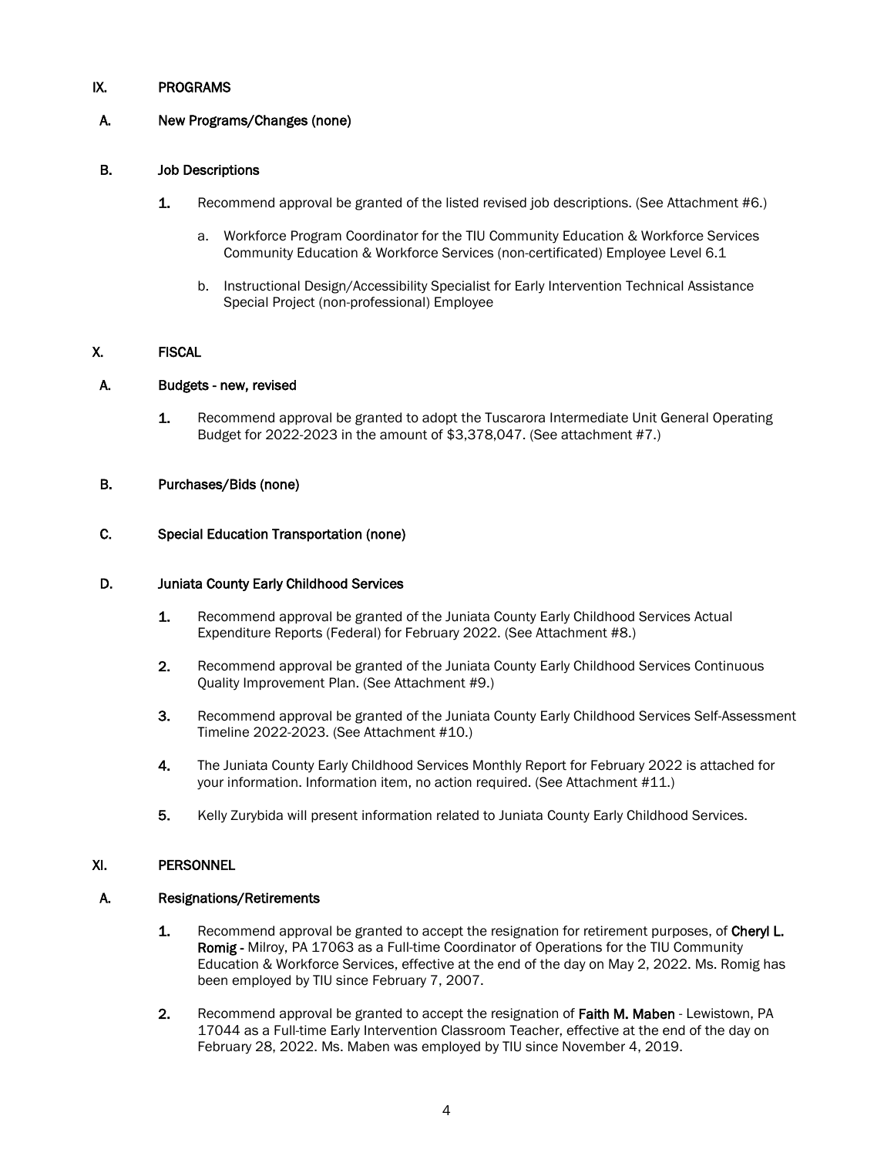### IX. PROGRAMS

## A. New Programs/Changes (none)

### B. Job Descriptions

- 1. Recommend approval be granted of the listed revised job descriptions. (See Attachment #6.)
	- a. Workforce Program Coordinator for the TIU Community Education & Workforce Services Community Education & Workforce Services (non-certificated) Employee Level 6.1
	- b. Instructional Design/Accessibility Specialist for Early Intervention Technical Assistance Special Project (non-professional) Employee

### X. FISCAL

### A. Budgets - new, revised

1. Recommend approval be granted to adopt the Tuscarora Intermediate Unit General Operating Budget for 2022-2023 in the amount of \$3,378,047. (See attachment #7.)

#### B. Purchases/Bids (none)

### C. Special Education Transportation (none)

#### D. Juniata County Early Childhood Services

- 1. Recommend approval be granted of the Juniata County Early Childhood Services Actual Expenditure Reports (Federal) for February 2022. (See Attachment #8.)
- 2. Recommend approval be granted of the Juniata County Early Childhood Services Continuous Quality Improvement Plan. (See Attachment #9.)
- 3. Recommend approval be granted of the Juniata County Early Childhood Services Self-Assessment Timeline 2022-2023. (See Attachment #10.)
- 4. The Juniata County Early Childhood Services Monthly Report for February 2022 is attached for your information. Information item, no action required. (See Attachment #11.)
- 5. Kelly Zurybida will present information related to Juniata County Early Childhood Services.

### XI. PERSONNEL

### A. Resignations/Retirements

- 1. Recommend approval be granted to accept the resignation for retirement purposes, of Cheryl L. Romig - Milroy, PA 17063 as a Full-time Coordinator of Operations for the TIU Community Education & Workforce Services, effective at the end of the day on May 2, 2022. Ms. Romig has been employed by TIU since February 7, 2007.
- 2. Recommend approval be granted to accept the resignation of Faith M. Maben Lewistown, PA 17044 as a Full-time Early Intervention Classroom Teacher, effective at the end of the day on February 28, 2022. Ms. Maben was employed by TIU since November 4, 2019.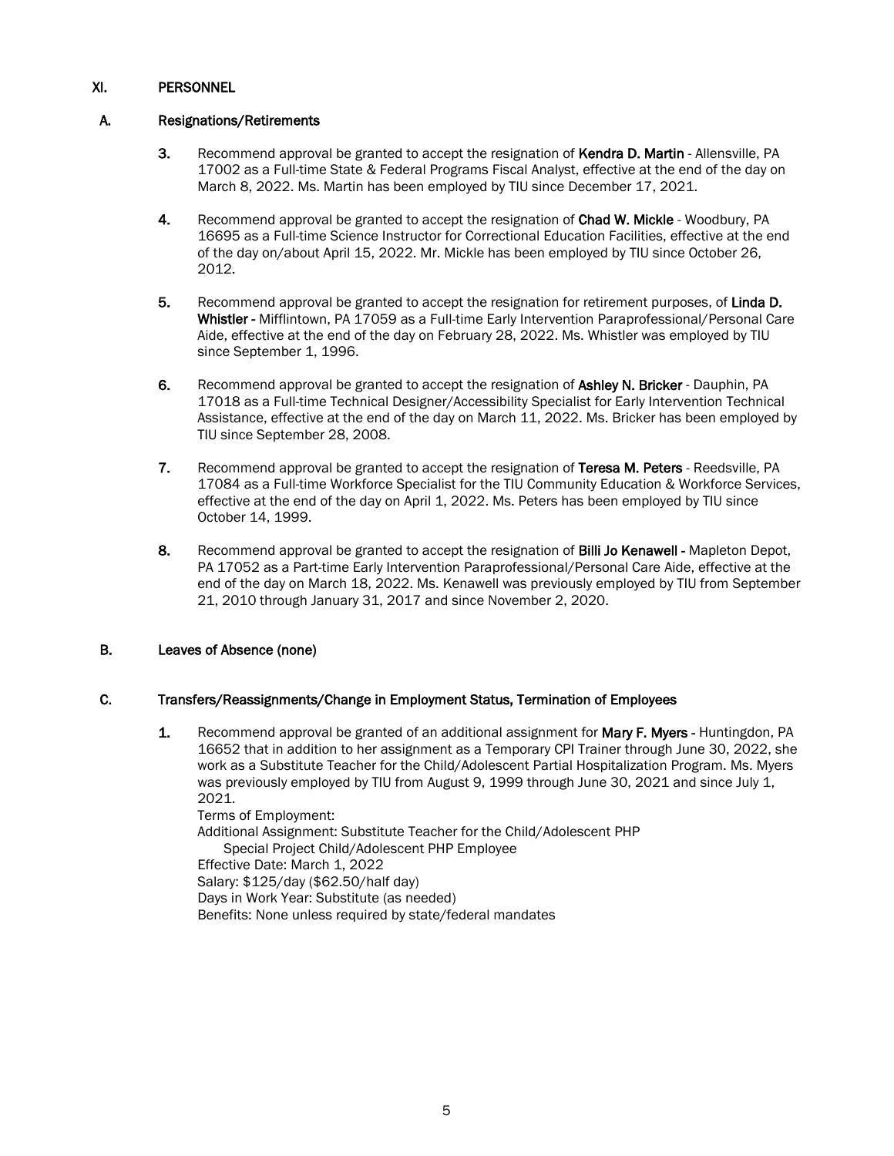## XI. PERSONNEL

### A. Resignations/Retirements

- 3. Recommend approval be granted to accept the resignation of Kendra D. Martin Allensville, PA 17002 as a Full-time State & Federal Programs Fiscal Analyst, effective at the end of the day on March 8, 2022. Ms. Martin has been employed by TIU since December 17, 2021.
- 4. Recommend approval be granted to accept the resignation of Chad W. Mickle Woodbury, PA 16695 as a Full-time Science Instructor for Correctional Education Facilities, effective at the end of the day on/about April 15, 2022. Mr. Mickle has been employed by TIU since October 26, 2012.
- 5. Recommend approval be granted to accept the resignation for retirement purposes, of Linda D. Whistler - Mifflintown, PA 17059 as a Full-time Early Intervention Paraprofessional/Personal Care Aide, effective at the end of the day on February 28, 2022. Ms. Whistler was employed by TIU since September 1, 1996.
- 6. Recommend approval be granted to accept the resignation of Ashley N. Bricker Dauphin, PA 17018 as a Full-time Technical Designer/Accessibility Specialist for Early Intervention Technical Assistance, effective at the end of the day on March 11, 2022. Ms. Bricker has been employed by TIU since September 28, 2008.
- 7. Recommend approval be granted to accept the resignation of Teresa M. Peters Reedsville, PA 17084 as a Full-time Workforce Specialist for the TIU Community Education & Workforce Services, effective at the end of the day on April 1, 2022. Ms. Peters has been employed by TIU since October 14, 1999.
- 8. Recommend approval be granted to accept the resignation of Billi Jo Kenawell Mapleton Depot, PA 17052 as a Part-time Early Intervention Paraprofessional/Personal Care Aide, effective at the end of the day on March 18, 2022. Ms. Kenawell was previously employed by TIU from September 21, 2010 through January 31, 2017 and since November 2, 2020.

## B. Leaves of Absence (none)

### C. Transfers/Reassignments/Change in Employment Status, Termination of Employees

**1.** Recommend approval be granted of an additional assignment for **Mary F. Myers** - Huntingdon, PA 16652 that in addition to her assignment as a Temporary CPI Trainer through June 30, 2022, she work as a Substitute Teacher for the Child/Adolescent Partial Hospitalization Program. Ms. Myers was previously employed by TIU from August 9, 1999 through June 30, 2021 and since July 1, 2021.

Terms of Employment: Additional Assignment: Substitute Teacher for the Child/Adolescent PHP Special Project Child/Adolescent PHP Employee Effective Date: March 1, 2022 Salary: \$125/day (\$62.50/half day) Days in Work Year: Substitute (as needed) Benefits: None unless required by state/federal mandates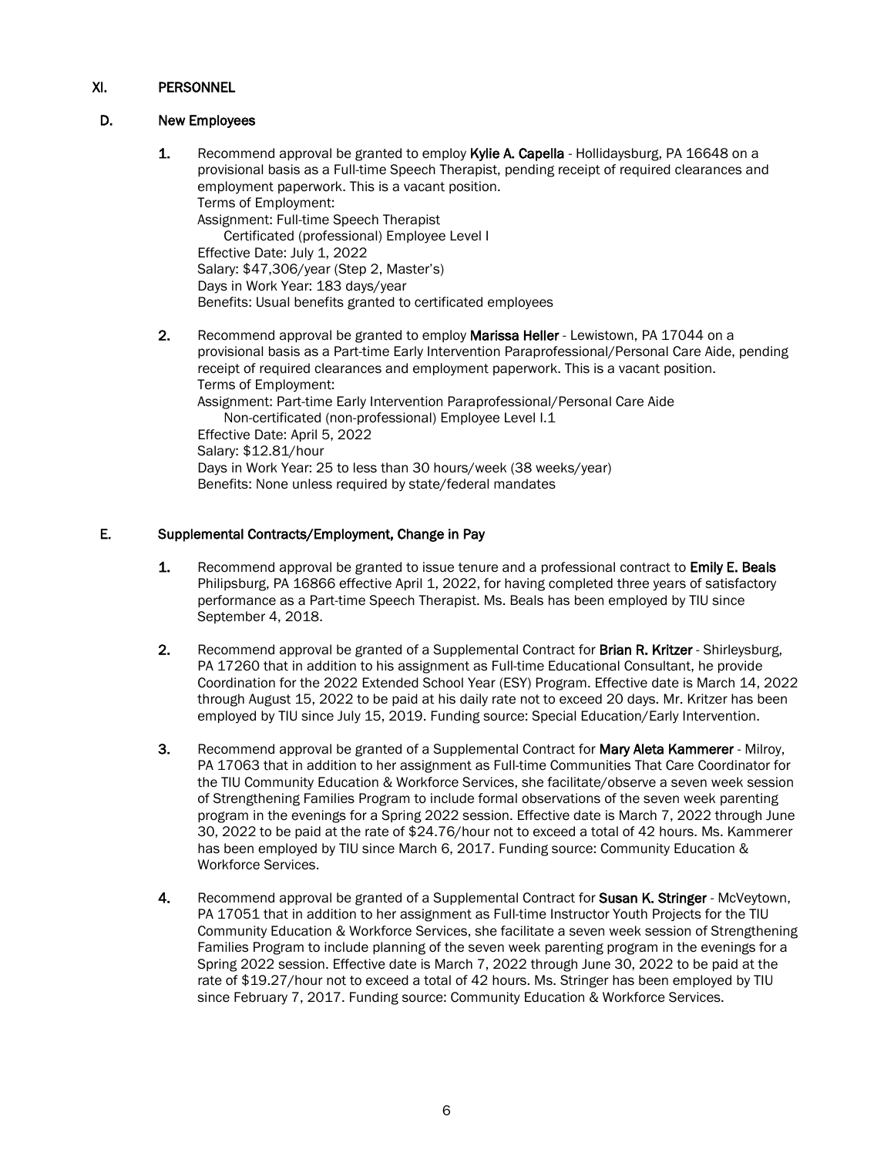## XI. PERSONNEL

## D. New Employees

1. Recommend approval be granted to employ Kylie A. Capella - Hollidaysburg, PA 16648 on a provisional basis as a Full-time Speech Therapist, pending receipt of required clearances and employment paperwork. This is a vacant position. Terms of Employment: Assignment: Full-time Speech Therapist Certificated (professional) Employee Level I Effective Date: July 1, 2022 Salary: \$47,306/year (Step 2, Master's) Days in Work Year: 183 days/year Benefits: Usual benefits granted to certificated employees 2. Recommend approval be granted to employ **Marissa Heller** - Lewistown, PA 17044 on a provisional basis as a Part-time Early Intervention Paraprofessional/Personal Care Aide, pending receipt of required clearances and employment paperwork. This is a vacant position. Terms of Employment:

Assignment: Part-time Early Intervention Paraprofessional/Personal Care Aide Non-certificated (non-professional) Employee Level I.1 Effective Date: April 5, 2022 Salary: \$12.81/hour Days in Work Year: 25 to less than 30 hours/week (38 weeks/year) Benefits: None unless required by state/federal mandates

### E. Supplemental Contracts/Employment, Change in Pay

- **1.** Recommend approval be granted to issue tenure and a professional contract to **Emily E. Beals** Philipsburg, PA 16866 effective April 1, 2022, for having completed three years of satisfactory performance as a Part-time Speech Therapist. Ms. Beals has been employed by TIU since September 4, 2018.
- 2. Recommend approval be granted of a Supplemental Contract for Brian R. Kritzer Shirleysburg, PA 17260 that in addition to his assignment as Full-time Educational Consultant, he provide Coordination for the 2022 Extended School Year (ESY) Program. Effective date is March 14, 2022 through August 15, 2022 to be paid at his daily rate not to exceed 20 days. Mr. Kritzer has been employed by TIU since July 15, 2019. Funding source: Special Education/Early Intervention.
- 3. Recommend approval be granted of a Supplemental Contract for Mary Aleta Kammerer Milroy, PA 17063 that in addition to her assignment as Full-time Communities That Care Coordinator for the TIU Community Education & Workforce Services, she facilitate/observe a seven week session of Strengthening Families Program to include formal observations of the seven week parenting program in the evenings for a Spring 2022 session. Effective date is March 7, 2022 through June 30, 2022 to be paid at the rate of \$24.76/hour not to exceed a total of 42 hours. Ms. Kammerer has been employed by TIU since March 6, 2017. Funding source: Community Education & Workforce Services.
- 4. Recommend approval be granted of a Supplemental Contract for Susan K. Stringer McVeytown, PA 17051 that in addition to her assignment as Full-time Instructor Youth Projects for the TIU Community Education & Workforce Services, she facilitate a seven week session of Strengthening Families Program to include planning of the seven week parenting program in the evenings for a Spring 2022 session. Effective date is March 7, 2022 through June 30, 2022 to be paid at the rate of \$19.27/hour not to exceed a total of 42 hours. Ms. Stringer has been employed by TIU since February 7, 2017. Funding source: Community Education & Workforce Services.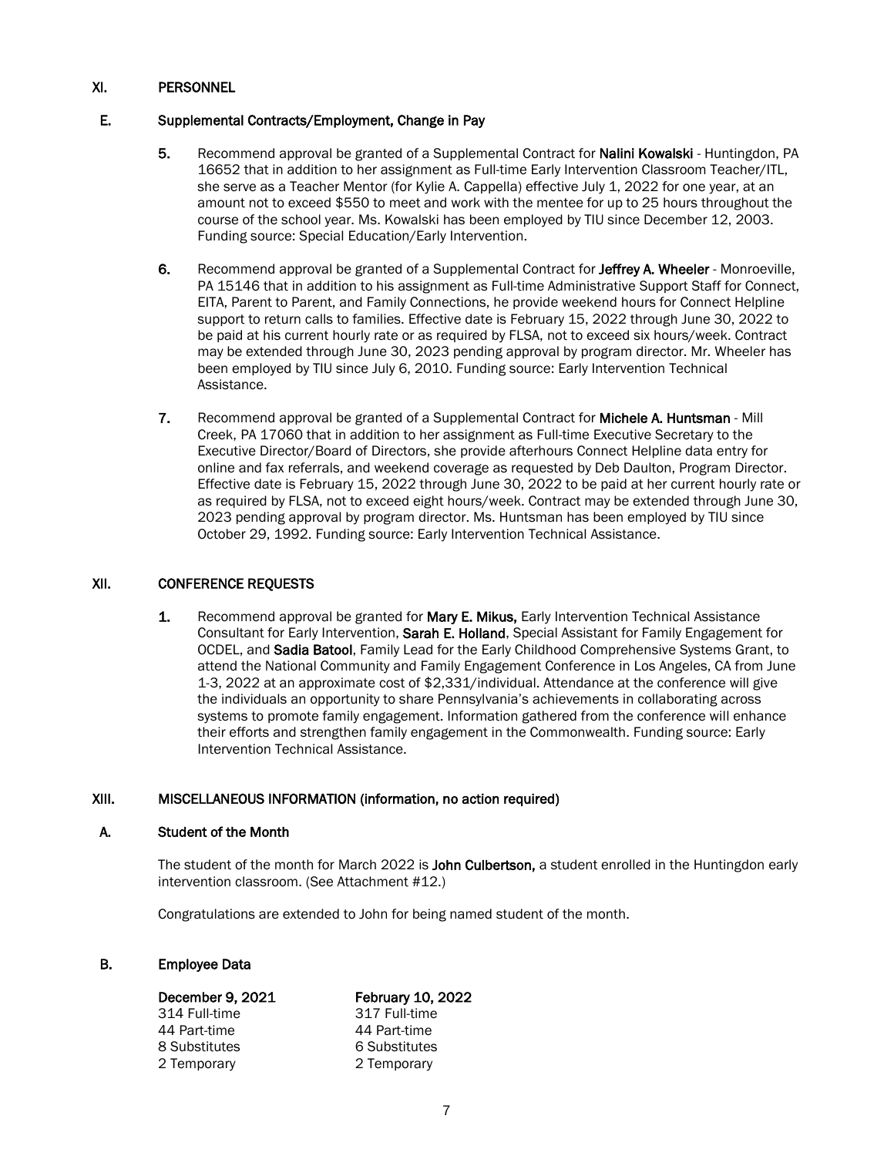## XI. PERSONNEL

### E. Supplemental Contracts/Employment, Change in Pay

- 5. Recommend approval be granted of a Supplemental Contract for Nalini Kowalski Huntingdon, PA 16652 that in addition to her assignment as Full-time Early Intervention Classroom Teacher/ITL, she serve as a Teacher Mentor (for Kylie A. Cappella) effective July 1, 2022 for one year, at an amount not to exceed \$550 to meet and work with the mentee for up to 25 hours throughout the course of the school year. Ms. Kowalski has been employed by TIU since December 12, 2003. Funding source: Special Education/Early Intervention.
- 6. Recommend approval be granted of a Supplemental Contract for Jeffrey A. Wheeler Monroeville, PA 15146 that in addition to his assignment as Full-time Administrative Support Staff for Connect, EITA, Parent to Parent, and Family Connections, he provide weekend hours for Connect Helpline support to return calls to families. Effective date is February 15, 2022 through June 30, 2022 to be paid at his current hourly rate or as required by FLSA, not to exceed six hours/week. Contract may be extended through June 30, 2023 pending approval by program director. Mr. Wheeler has been employed by TIU since July 6, 2010. Funding source: Early Intervention Technical Assistance.
- 7. Recommend approval be granted of a Supplemental Contract for Michele A. Huntsman Mill Creek, PA 17060 that in addition to her assignment as Full-time Executive Secretary to the Executive Director/Board of Directors, she provide afterhours Connect Helpline data entry for online and fax referrals, and weekend coverage as requested by Deb Daulton, Program Director. Effective date is February 15, 2022 through June 30, 2022 to be paid at her current hourly rate or as required by FLSA, not to exceed eight hours/week. Contract may be extended through June 30, 2023 pending approval by program director. Ms. Huntsman has been employed by TIU since October 29, 1992. Funding source: Early Intervention Technical Assistance.

### XII. CONFERENCE REQUESTS

1. Recommend approval be granted for Mary E. Mikus, Early Intervention Technical Assistance Consultant for Early Intervention, Sarah E. Holland, Special Assistant for Family Engagement for OCDEL, and Sadia Batool, Family Lead for the Early Childhood Comprehensive Systems Grant, to attend the National Community and Family Engagement Conference in Los Angeles, CA from June 1-3, 2022 at an approximate cost of \$2,331/individual. Attendance at the conference will give the individuals an opportunity to share Pennsylvania's achievements in collaborating across systems to promote family engagement. Information gathered from the conference will enhance their efforts and strengthen family engagement in the Commonwealth. Funding source: Early Intervention Technical Assistance.

### XIII. MISCELLANEOUS INFORMATION (information, no action required)

### A. Student of the Month

The student of the month for March 2022 is John Culbertson, a student enrolled in the Huntingdon early intervention classroom. (See Attachment #12.)

Congratulations are extended to John for being named student of the month.

### B. Employee Data

| December 9, 2021 | <b>February 10, 2022</b> |
|------------------|--------------------------|
| 314 Full-time    | 317 Full-time            |
| 44 Part-time     | 44 Part-time             |
| 8 Substitutes    | 6 Substitutes            |
| 2 Temporary      | 2 Temporary              |